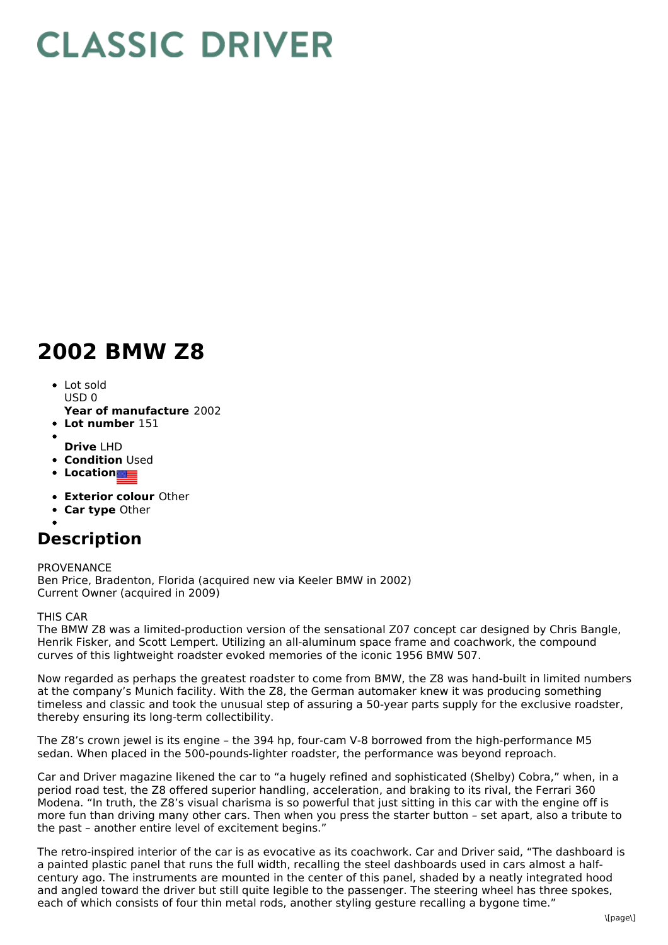## **CLASSIC DRIVER**

## **2002 BMW Z8**

- Lot sold  $USDO$
- **Year of manufacture** 2002
- **Lot number** 151
- **Drive** LHD
- **Condition Used**
- **•** Location
- 
- **Exterior colour** Other
- **Car type** Other

## **Description**

PROVENANCE Ben Price, Bradenton, Florida (acquired new via Keeler BMW in 2002) Current Owner (acquired in 2009)

THIS CAR

The BMW Z8 was a limited-production version of the sensational Z07 concept car designed by Chris Bangle, Henrik Fisker, and Scott Lempert. Utilizing an all-aluminum space frame and coachwork, the compound curves of this lightweight roadster evoked memories of the iconic 1956 BMW 507.

Now regarded as perhaps the greatest roadster to come from BMW, the Z8 was hand-built in limited numbers at the company's Munich facility. With the Z8, the German automaker knew it was producing something timeless and classic and took the unusual step of assuring a 50-year parts supply for the exclusive roadster, thereby ensuring its long-term collectibility.

The Z8's crown jewel is its engine – the 394 hp, four-cam V-8 borrowed from the high-performance M5 sedan. When placed in the 500-pounds-lighter roadster, the performance was beyond reproach.

Car and Driver magazine likened the car to "a hugely refined and sophisticated (Shelby) Cobra," when, in a period road test, the Z8 offered superior handling, acceleration, and braking to its rival, the Ferrari 360 Modena. "In truth, the Z8's visual charisma is so powerful that just sitting in this car with the engine off is more fun than driving many other cars. Then when you press the starter button – set apart, also a tribute to the past – another entire level of excitement begins."

The retro-inspired interior of the car is as evocative as its coachwork. Car and Driver said, "The dashboard is a painted plastic panel that runs the full width, recalling the steel dashboards used in cars almost a halfcentury ago. The instruments are mounted in the center of this panel, shaded by a neatly integrated hood and angled toward the driver but still quite legible to the passenger. The steering wheel has three spokes, each of which consists of four thin metal rods, another styling gesture recalling a bygone time."